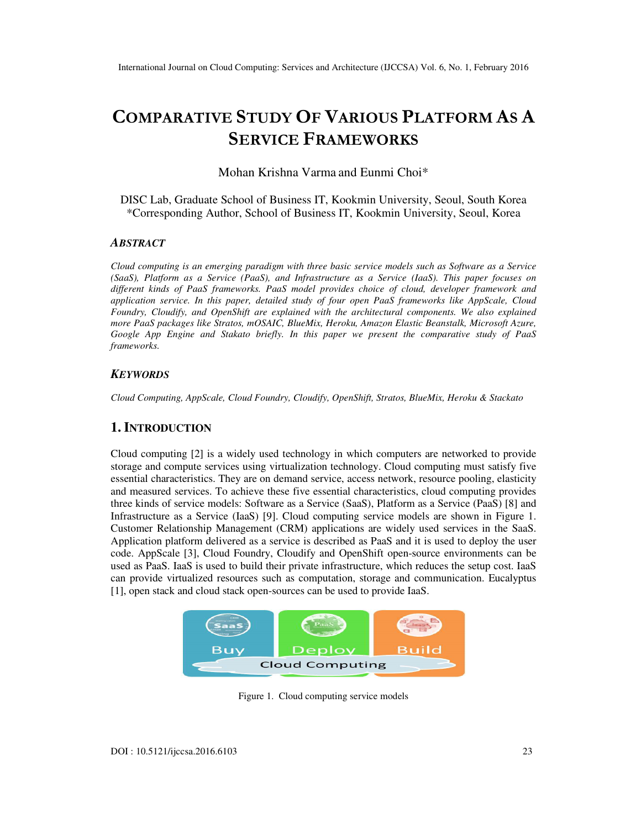# **COMPARATIVE STUDY OF VARIOUS PLATFORM AS A SERVICE FRAMEWORKS**

Mohan Krishna Varma and Eunmi Choi\*

DISC Lab, Graduate School of Business IT, Kookmin University, Seoul, South Korea \*Corresponding Author, School of Business IT, Kookmin University, Seoul, Korea

#### *ABSTRACT*

*Cloud computing is an emerging paradigm with three basic service models such as Software as a Service (SaaS), Platform as a Service (PaaS), and Infrastructure as a Service (IaaS). This paper focuses on different kinds of PaaS frameworks. PaaS model provides choice of cloud, developer framework and application service. In this paper, detailed study of four open PaaS frameworks like AppScale, Cloud Foundry, Cloudify, and OpenShift are explained with the architectural components. We also explained more PaaS packages like Stratos, mOSAIC, BlueMix, Heroku, Amazon Elastic Beanstalk, Microsoft Azure, Google App Engine and Stakato briefly. In this paper we present the comparative study of PaaS frameworks.* 

#### *KEYWORDS*

*Cloud Computing, AppScale, Cloud Foundry, Cloudify, OpenShift, Stratos, BlueMix, Heroku & Stackato* 

## **1. INTRODUCTION**

Cloud computing [2] is a widely used technology in which computers are networked to provide storage and compute services using virtualization technology. Cloud computing must satisfy five essential characteristics. They are on demand service, access network, resource pooling, elasticity and measured services. To achieve these five essential characteristics, cloud computing provides three kinds of service models: Software as a Service (SaaS), Platform as a Service (PaaS) [8] and Infrastructure as a Service (IaaS) [9]. Cloud computing service models are shown in Figure 1. Customer Relationship Management (CRM) applications are widely used services in the SaaS. Application platform delivered as a service is described as PaaS and it is used to deploy the user code. AppScale [3], Cloud Foundry, Cloudify and OpenShift open-source environments can be used as PaaS. IaaS is used to build their private infrastructure, which reduces the setup cost. IaaS can provide virtualized resources such as computation, storage and communication. Eucalyptus [1], open stack and cloud stack open-sources can be used to provide IaaS.



Figure 1. Cloud computing service models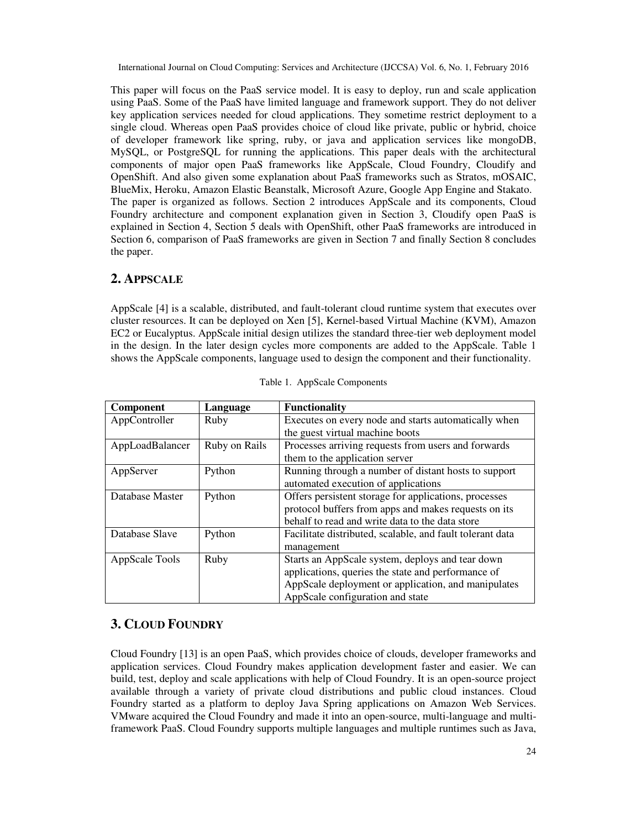This paper will focus on the PaaS service model. It is easy to deploy, run and scale application using PaaS. Some of the PaaS have limited language and framework support. They do not deliver key application services needed for cloud applications. They sometime restrict deployment to a single cloud. Whereas open PaaS provides choice of cloud like private, public or hybrid, choice of developer framework like spring, ruby, or java and application services like mongoDB, MySQL, or PostgreSQL for running the applications. This paper deals with the architectural components of major open PaaS frameworks like AppScale, Cloud Foundry, Cloudify and OpenShift. And also given some explanation about PaaS frameworks such as Stratos, mOSAIC, BlueMix, Heroku, Amazon Elastic Beanstalk, Microsoft Azure, Google App Engine and Stakato. The paper is organized as follows. Section 2 introduces AppScale and its components, Cloud Foundry architecture and component explanation given in Section 3, Cloudify open PaaS is explained in Section 4, Section 5 deals with OpenShift, other PaaS frameworks are introduced in Section 6, comparison of PaaS frameworks are given in Section 7 and finally Section 8 concludes the paper.

# **2. APPSCALE**

AppScale [4] is a scalable, distributed, and fault-tolerant cloud runtime system that executes over cluster resources. It can be deployed on Xen [5], Kernel-based Virtual Machine (KVM), Amazon EC2 or Eucalyptus. AppScale initial design utilizes the standard three-tier web deployment model in the design. In the later design cycles more components are added to the AppScale. Table 1 shows the AppScale components, language used to design the component and their functionality.

| <b>Component</b> | Language      | <b>Functionality</b>                                      |  |  |  |  |
|------------------|---------------|-----------------------------------------------------------|--|--|--|--|
| AppController    | Ruby          | Executes on every node and starts automatically when      |  |  |  |  |
|                  |               | the guest virtual machine boots                           |  |  |  |  |
| AppLoadBalancer  | Ruby on Rails | Processes arriving requests from users and forwards       |  |  |  |  |
|                  |               | them to the application server                            |  |  |  |  |
| AppServer        | Python        | Running through a number of distant hosts to support      |  |  |  |  |
|                  |               | automated execution of applications                       |  |  |  |  |
| Database Master  | Python        | Offers persistent storage for applications, processes     |  |  |  |  |
|                  |               | protocol buffers from apps and makes requests on its      |  |  |  |  |
|                  |               | behalf to read and write data to the data store           |  |  |  |  |
| Database Slave   | Python        | Facilitate distributed, scalable, and fault tolerant data |  |  |  |  |
|                  |               | management                                                |  |  |  |  |
| AppScale Tools   | Ruby          | Starts an AppScale system, deploys and tear down          |  |  |  |  |
|                  |               | applications, queries the state and performance of        |  |  |  |  |
|                  |               | AppScale deployment or application, and manipulates       |  |  |  |  |
|                  |               | AppScale configuration and state                          |  |  |  |  |

|  | Table 1. AppScale Components |
|--|------------------------------|
|--|------------------------------|

# **3. CLOUD FOUNDRY**

Cloud Foundry [13] is an open PaaS, which provides choice of clouds, developer frameworks and application services. Cloud Foundry makes application development faster and easier. We can build, test, deploy and scale applications with help of Cloud Foundry. It is an open-source project available through a variety of private cloud distributions and public cloud instances. Cloud Foundry started as a platform to deploy Java Spring applications on Amazon Web Services. VMware acquired the Cloud Foundry and made it into an open-source, multi-language and multiframework PaaS. Cloud Foundry supports multiple languages and multiple runtimes such as Java,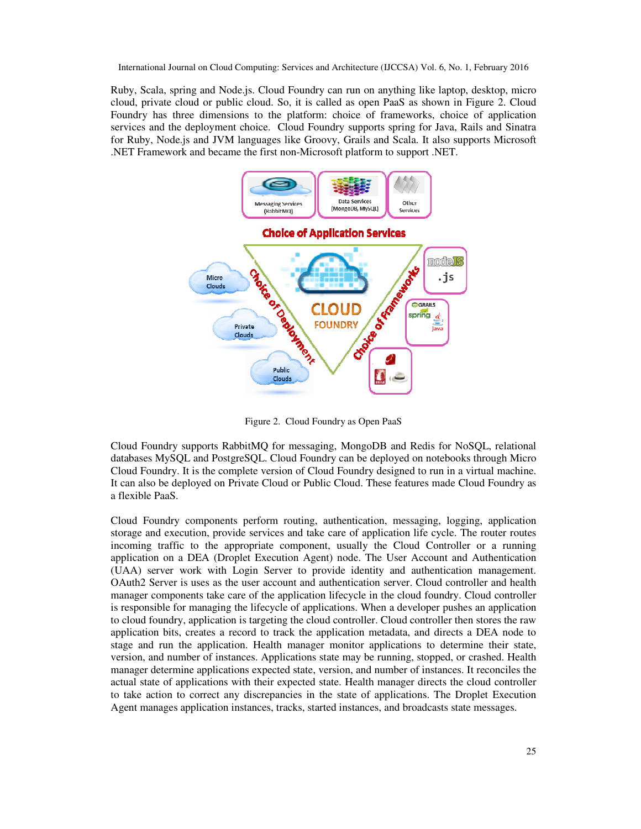Ruby, Scala, spring and Node.js. Cloud Foundry can run on anything like laptop, desktop, micro cloud, private cloud or public cloud. So, it is called as open PaaS as shown in Figure 2. Cloud Foundry has three dimensions to the platform: choice of frameworks, choice of application services and the deployment choice. Cloud Foundry supports spring for Java, Rails and Sinatra for Ruby, Node.js and JVM languages like Groovy, Grails and Scala. It also supports Microsoft .NET Framework and became the first non-Microsoft platform to support .NET.



Figure 2. Cloud Foundry as Open PaaS

Cloud Foundry supports RabbitMQ for messaging, MongoDB and Redis for NoSQL, relational databases MySQL and PostgreSQL. Cloud Foundry can be deployed on notebooks through Micro Cloud Foundry. It is the complete version of Cloud Foundry designed to run in a virtual machine. It can also be deployed on Private Cloud or Public Cloud. These features made Cloud Foundry as a flexible PaaS.

Cloud Foundry components perform routing, authentication, messaging, logging, application storage and execution, provide services and take care of application life cycle. The router routes incoming traffic to the appropriate component, usually the Cloud Controller or a running application on a DEA (Droplet Execution Agent) node. The User Account and Authentication (UAA) server work with Login Server to provide identity and authentication management. OAuth2 Server is uses as the user account and authentication server. Cloud controller and health manager components take care of the application lifecycle in the cloud foundry. Cloud controller is responsible for managing the lifecycle of applications. When a developer pushes an application to cloud foundry, application is targeting the cloud controller. Cloud controller then stores the raw application bits, creates a record to track the application metadata, and directs a DEA node to stage and run the application. Health manager monitor applications to determine their state, version, and number of instances. Applications state may be running, stopped, or crashed. Health manager determine applications expected state, version, and number of instances. It reconciles the actual state of applications with their expected state. Health manager directs the cloud controller to take action to correct any discrepancies in the state of applications. The Droplet Execution Agent manages application instances, tracks, started instances, and broadcasts state messages.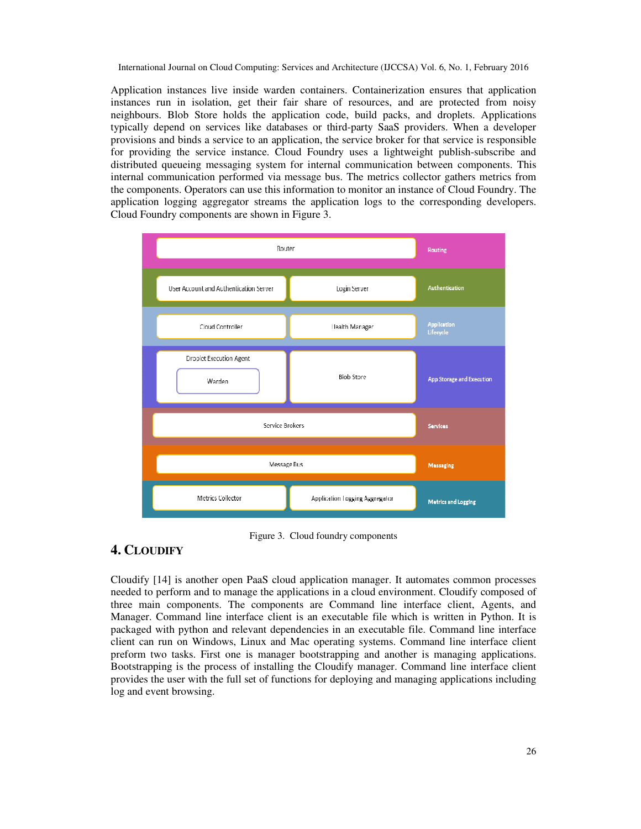Application instances live inside warden containers. Containerization ensures that application instances run in isolation, get their fair share of resources, and are protected from noisy neighbours. Blob Store holds the application code, build packs, and droplets. Applications typically depend on services like databases or third-party SaaS providers. When a developer provisions and binds a service to an application, the service broker for that service is responsible for providing the service instance. Cloud Foundry uses a lightweight publish-subscribe and distributed queueing messaging system for internal communication between components. This internal communication performed via message bus. The metrics collector gathers metrics from the components. Operators can use this information to monitor an instance of Cloud Foundry. The application logging aggregator streams the application logs to the corresponding developers. Cloud Foundry components are shown in Figure 3.



Figure 3. Cloud foundry components

# **4. CLOUDIFY**

Cloudify [14] is another open PaaS cloud application manager. It automates common processes needed to perform and to manage the applications in a cloud environment. Cloudify composed of three main components. The components are Command line interface client, Agents, and Manager. Command line interface client is an executable file which is written in Python. It is packaged with python and relevant dependencies in an executable file. Command line interface client can run on Windows, Linux and Mac operating systems. Command line interface client preform two tasks. First one is manager bootstrapping and another is managing applications. Bootstrapping is the process of installing the Cloudify manager. Command line interface client provides the user with the full set of functions for deploying and managing applications including log and event browsing.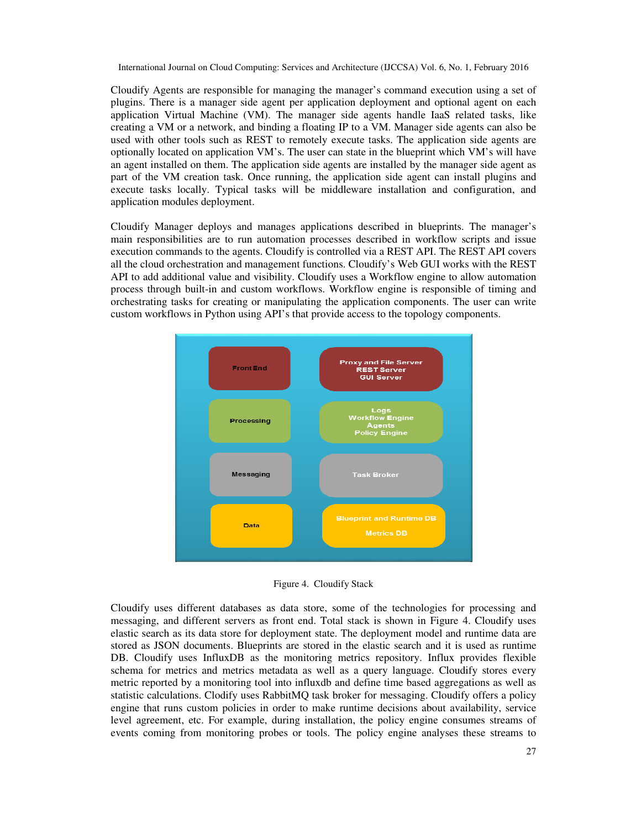Cloudify Agents are responsible for managing the manager's command execution using a set of plugins. There is a manager side agent per application deployment and optional agent on each application Virtual Machine (VM). The manager side agents handle IaaS related tasks, like creating a VM or a network, and binding a floating IP to a VM. Manager side agents can also be used with other tools such as REST to remotely execute tasks. The application side agents are optionally located on application VM's. The user can state in the blueprint which VM's will have an agent installed on them. The application side agents are installed by the manager side agent as part of the VM creation task. Once running, the application side agent can install plugins and execute tasks locally. Typical tasks will be middleware installation and configuration, and application modules deployment.

Cloudify Manager deploys and manages applications described in blueprints. The manager's main responsibilities are to run automation processes described in workflow scripts and issue execution commands to the agents. Cloudify is controlled via a REST API. The REST API covers all the cloud orchestration and management functions. Cloudify's Web GUI works with the REST API to add additional value and visibility. Cloudify uses a Workflow engine to allow automation process through built-in and custom workflows. Workflow engine is responsible of timing and orchestrating tasks for creating or manipulating the application components. The user can write custom workflows in Python using API's that provide access to the topology components.



Figure 4. Cloudify Stack

Cloudify uses different databases as data store, some of the technologies for processing and messaging, and different servers as front end. Total stack is shown in Figure 4. Cloudify uses elastic search as its data store for deployment state. The deployment model and runtime data are stored as JSON documents. Blueprints are stored in the elastic search and it is used as runtime DB. Cloudify uses InfluxDB as the monitoring metrics repository. Influx provides flexible schema for metrics and metrics metadata as well as a query language. Cloudify stores every metric reported by a monitoring tool into influxdb and define time based aggregations as well as statistic calculations. Clodify uses RabbitMQ task broker for messaging. Cloudify offers a policy engine that runs custom policies in order to make runtime decisions about availability, service level agreement, etc. For example, during installation, the policy engine consumes streams of events coming from monitoring probes or tools. The policy engine analyses these streams to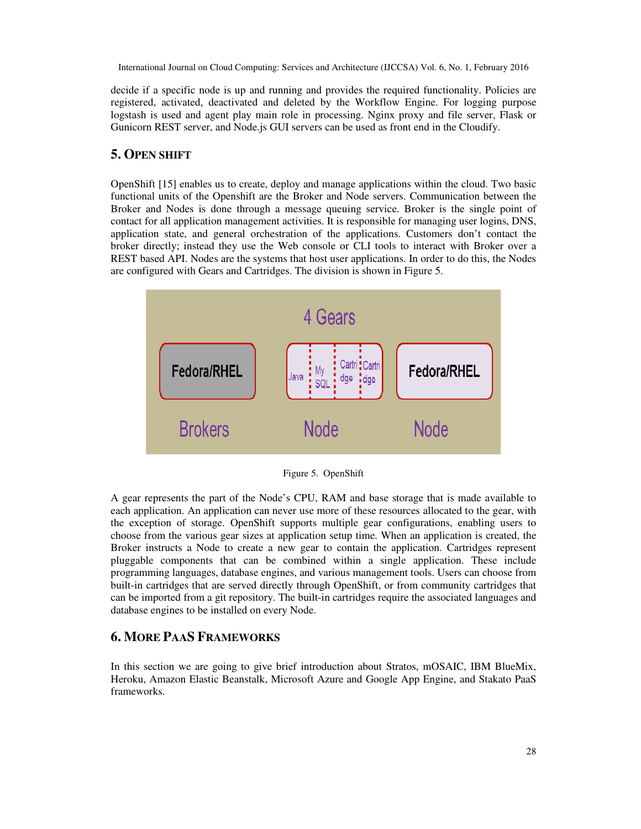decide if a specific node is up and running and provides the required functionality. Policies are registered, activated, deactivated and deleted by the Workflow Engine. For logging purpose logstash is used and agent play main role in processing. Nginx proxy and file server, Flask or Gunicorn REST server, and Node.js GUI servers can be used as front end in the Cloudify.

## **5. OPEN SHIFT**

OpenShift [15] enables us to create, deploy and manage applications within the cloud. Two basic functional units of the Openshift are the Broker and Node servers. Communication between the Broker and Nodes is done through a message queuing service. Broker is the single point of contact for all application management activities. It is responsible for managing user logins, DNS, application state, and general orchestration of the applications. Customers don't contact the broker directly; instead they use the Web console or CLI tools to interact with Broker over a REST based API. Nodes are the systems that host user applications. In order to do this, the Nodes are configured with Gears and Cartridges. The division is shown in Figure 5.



Figure 5. OpenShift

A gear represents the part of the Node's CPU, RAM and base storage that is made available to each application. An application can never use more of these resources allocated to the gear, with the exception of storage. OpenShift supports multiple gear configurations, enabling users to choose from the various gear sizes at application setup time. When an application is created, the Broker instructs a Node to create a new gear to contain the application. Cartridges represent pluggable components that can be combined within a single application. These include programming languages, database engines, and various management tools. Users can choose from built-in cartridges that are served directly through OpenShift, or from community cartridges that can be imported from a git repository. The built-in cartridges require the associated languages and database engines to be installed on every Node.

# **6. MORE PAAS FRAMEWORKS**

In this section we are going to give brief introduction about Stratos, mOSAIC, IBM BlueMix, Heroku, Amazon Elastic Beanstalk, Microsoft Azure and Google App Engine, and Stakato PaaS frameworks.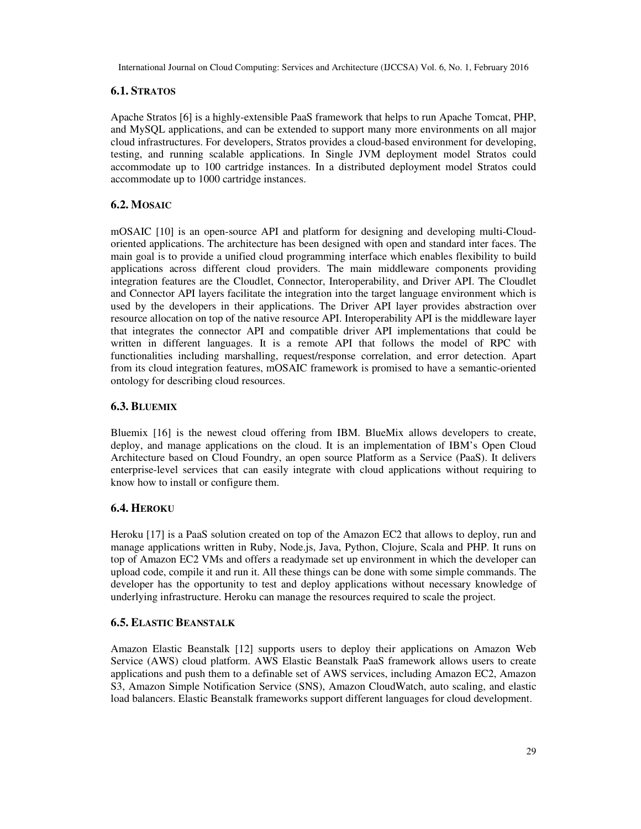#### **6.1. STRATOS**

Apache Stratos [6] is a highly-extensible PaaS framework that helps to run Apache Tomcat, PHP, and MySQL applications, and can be extended to support many more environments on all major cloud infrastructures. For developers, Stratos provides a cloud-based environment for developing, testing, and running scalable applications. In Single JVM deployment model Stratos could accommodate up to 100 cartridge instances. In a distributed deployment model Stratos could accommodate up to 1000 cartridge instances.

## **6.2. MOSAIC**

mOSAIC [10] is an open-source API and platform for designing and developing multi-Cloudoriented applications. The architecture has been designed with open and standard inter faces. The main goal is to provide a unified cloud programming interface which enables flexibility to build applications across different cloud providers. The main middleware components providing integration features are the Cloudlet, Connector, Interoperability, and Driver API. The Cloudlet and Connector API layers facilitate the integration into the target language environment which is used by the developers in their applications. The Driver API layer provides abstraction over resource allocation on top of the native resource API. Interoperability API is the middleware layer that integrates the connector API and compatible driver API implementations that could be written in different languages. It is a remote API that follows the model of RPC with functionalities including marshalling, request/response correlation, and error detection. Apart from its cloud integration features, mOSAIC framework is promised to have a semantic-oriented ontology for describing cloud resources.

## **6.3. BLUEMIX**

Bluemix [16] is the newest cloud offering from IBM. BlueMix allows developers to create, deploy, and manage applications on the cloud. It is an implementation of IBM's Open Cloud Architecture based on Cloud Foundry, an open source Platform as a Service (PaaS). It delivers enterprise-level services that can easily integrate with cloud applications without requiring to know how to install or configure them.

## **6.4. HEROKU**

Heroku [17] is a PaaS solution created on top of the Amazon EC2 that allows to deploy, run and manage applications written in Ruby, Node.js, Java, Python, Clojure, Scala and PHP. It runs on top of Amazon EC2 VMs and offers a readymade set up environment in which the developer can upload code, compile it and run it. All these things can be done with some simple commands. The developer has the opportunity to test and deploy applications without necessary knowledge of underlying infrastructure. Heroku can manage the resources required to scale the project.

## **6.5. ELASTIC BEANSTALK**

Amazon Elastic Beanstalk [12] supports users to deploy their applications on Amazon Web Service (AWS) cloud platform. AWS Elastic Beanstalk PaaS framework allows users to create applications and push them to a definable set of AWS services, including Amazon EC2, Amazon S3, Amazon Simple Notification Service (SNS), Amazon CloudWatch, auto scaling, and elastic load balancers. Elastic Beanstalk frameworks support different languages for cloud development.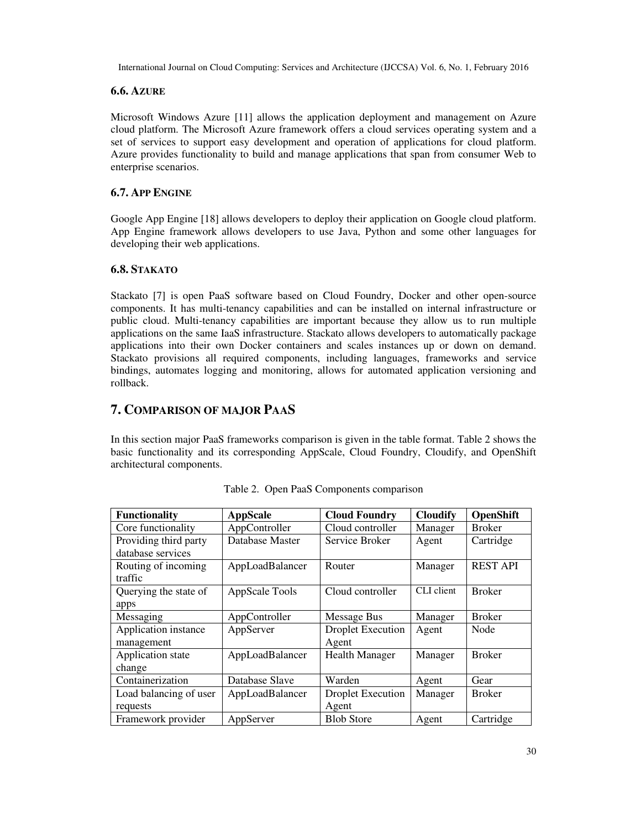#### **6.6. AZURE**

Microsoft Windows Azure [11] allows the application deployment and management on Azure cloud platform. The Microsoft Azure framework offers a cloud services operating system and a set of services to support easy development and operation of applications for cloud platform. Azure provides functionality to build and manage applications that span from consumer Web to enterprise scenarios.

#### **6.7. APP ENGINE**

Google App Engine [18] allows developers to deploy their application on Google cloud platform. App Engine framework allows developers to use Java, Python and some other languages for developing their web applications.

#### **6.8. STAKATO**

Stackato [7] is open PaaS software based on Cloud Foundry, Docker and other open-source components. It has multi-tenancy capabilities and can be installed on internal infrastructure or public cloud. Multi-tenancy capabilities are important because they allow us to run multiple applications on the same IaaS infrastructure. Stackato allows developers to automatically package applications into their own Docker containers and scales instances up or down on demand. Stackato provisions all required components, including languages, frameworks and service bindings, automates logging and monitoring, allows for automated application versioning and rollback.

# **7. COMPARISON OF MAJOR PAAS**

In this section major PaaS frameworks comparison is given in the table format. Table 2 shows the basic functionality and its corresponding AppScale, Cloud Foundry, Cloudify, and OpenShift architectural components.

| <b>Functionality</b>   | <b>AppScale</b> | <b>Cloud Foundry</b>     | <b>Cloudify</b> | <b>OpenShift</b> |
|------------------------|-----------------|--------------------------|-----------------|------------------|
| Core functionality     | AppController   | Cloud controller         | Manager         | <b>Broker</b>    |
| Providing third party  | Database Master | Service Broker           | Agent           | Cartridge        |
| database services      |                 |                          |                 |                  |
| Routing of incoming    | AppLoadBalancer | Router                   | Manager         | <b>REST API</b>  |
| traffic                |                 |                          |                 |                  |
| Querying the state of  | AppScale Tools  | Cloud controller         | CLI client      | <b>Broker</b>    |
| apps                   |                 |                          |                 |                  |
| Messaging              | AppController   | <b>Message Bus</b>       | Manager         | <b>Broker</b>    |
| Application instance   | AppServer       | <b>Droplet Execution</b> | Agent           | Node             |
| management             |                 | Agent                    |                 |                  |
| Application state      | AppLoadBalancer | <b>Health Manager</b>    | Manager         | <b>Broker</b>    |
| change                 |                 |                          |                 |                  |
| Containerization       | Database Slave  | Warden                   | Agent           | Gear             |
| Load balancing of user | AppLoadBalancer | <b>Droplet Execution</b> | Manager         | <b>Broker</b>    |
| requests               |                 | Agent                    |                 |                  |
| Framework provider     | AppServer       | <b>Blob Store</b>        | Agent           | Cartridge        |

Table 2. Open PaaS Components comparison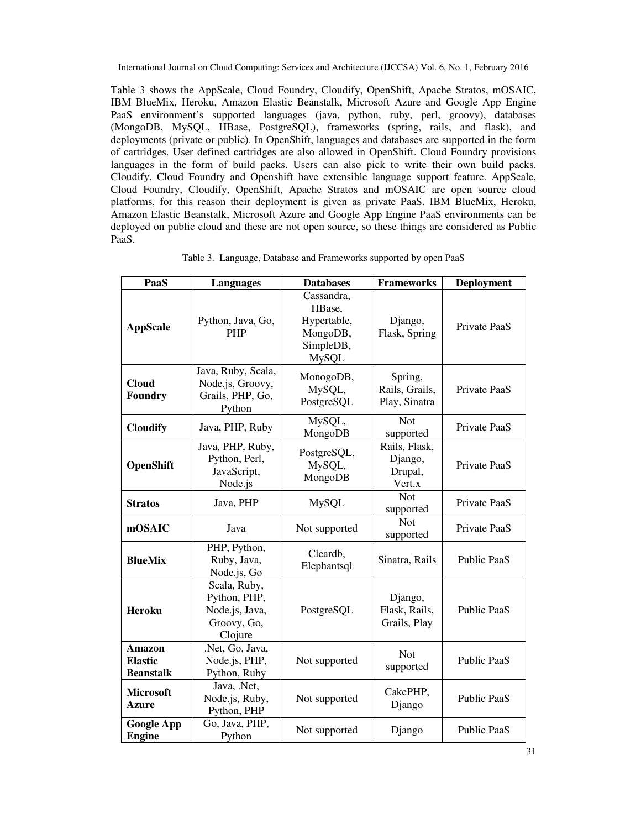Table 3 shows the AppScale, Cloud Foundry, Cloudify, OpenShift, Apache Stratos, mOSAIC, IBM BlueMix, Heroku, Amazon Elastic Beanstalk, Microsoft Azure and Google App Engine PaaS environment's supported languages (java, python, ruby, perl, groovy), databases (MongoDB, MySQL, HBase, PostgreSQL), frameworks (spring, rails, and flask), and deployments (private or public). In OpenShift, languages and databases are supported in the form of cartridges. User defined cartridges are also allowed in OpenShift. Cloud Foundry provisions languages in the form of build packs. Users can also pick to write their own build packs. Cloudify, Cloud Foundry and Openshift have extensible language support feature. AppScale, Cloud Foundry, Cloudify, OpenShift, Apache Stratos and mOSAIC are open source cloud platforms, for this reason their deployment is given as private PaaS. IBM BlueMix, Heroku, Amazon Elastic Beanstalk, Microsoft Azure and Google App Engine PaaS environments can be deployed on public cloud and these are not open source, so these things are considered as Public PaaS.

| PaaS                                                | <b>Languages</b>                                                         | <b>Databases</b>                                                             | <b>Frameworks</b>                             | Deployment         |  |
|-----------------------------------------------------|--------------------------------------------------------------------------|------------------------------------------------------------------------------|-----------------------------------------------|--------------------|--|
| <b>AppScale</b>                                     | Python, Java, Go,<br><b>PHP</b>                                          | Cassandra,<br>HBase,<br>Hypertable,<br>MongoDB,<br>SimpleDB,<br><b>MySQL</b> | Django,<br>Flask, Spring                      | Private PaaS       |  |
| <b>Cloud</b><br>Foundry                             | Java, Ruby, Scala,<br>Node.js, Groovy,<br>Grails, PHP, Go,<br>Python     | MonogoDB,<br>MySQL,<br>PostgreSQL                                            | Spring,<br>Rails, Grails,<br>Play, Sinatra    | Private PaaS       |  |
| <b>Cloudify</b>                                     | Java, PHP, Ruby                                                          | MySQL,<br>MongoDB                                                            | <b>Not</b><br>supported                       | Private PaaS       |  |
| <b>OpenShift</b>                                    | Java, PHP, Ruby,<br>Python, Perl,<br>JavaScript,<br>Node.js              | PostgreSQL,<br>MySQL,<br>MongoDB                                             | Rails, Flask,<br>Django,<br>Drupal,<br>Vert.x | Private PaaS       |  |
| <b>Stratos</b>                                      | Java, PHP                                                                | <b>MySQL</b>                                                                 | <b>Not</b><br>supported                       | Private PaaS       |  |
| mOSAIC                                              | Java                                                                     | Not supported                                                                | <b>Not</b><br>supported                       | Private PaaS       |  |
| <b>BlueMix</b>                                      | PHP, Python,<br>Ruby, Java,<br>Node.js, Go                               | Cleardb,<br>Elephantsql                                                      | Sinatra, Rails                                | <b>Public PaaS</b> |  |
| <b>Heroku</b>                                       | Scala, Ruby,<br>Python, PHP,<br>Node.js, Java,<br>Groovy, Go,<br>Clojure | PostgreSQL                                                                   | Django,<br>Flask, Rails,<br>Grails, Play      | <b>Public PaaS</b> |  |
| <b>Amazon</b><br><b>Elastic</b><br><b>Beanstalk</b> | .Net, Go, Java,<br>Node.js, PHP,<br>Python, Ruby                         | Not supported                                                                | <b>Not</b><br>supported                       | <b>Public PaaS</b> |  |
| <b>Microsoft</b><br><b>Azure</b>                    | Java, .Net,<br>Node.js, Ruby,<br>Python, PHP                             | Not supported                                                                | CakePHP,<br>Django                            | <b>Public PaaS</b> |  |
| <b>Google App</b><br><b>Engine</b>                  | Go, Java, PHP,<br>Python                                                 | Not supported                                                                | Django                                        | <b>Public PaaS</b> |  |

Table 3. Language, Database and Frameworks supported by open PaaS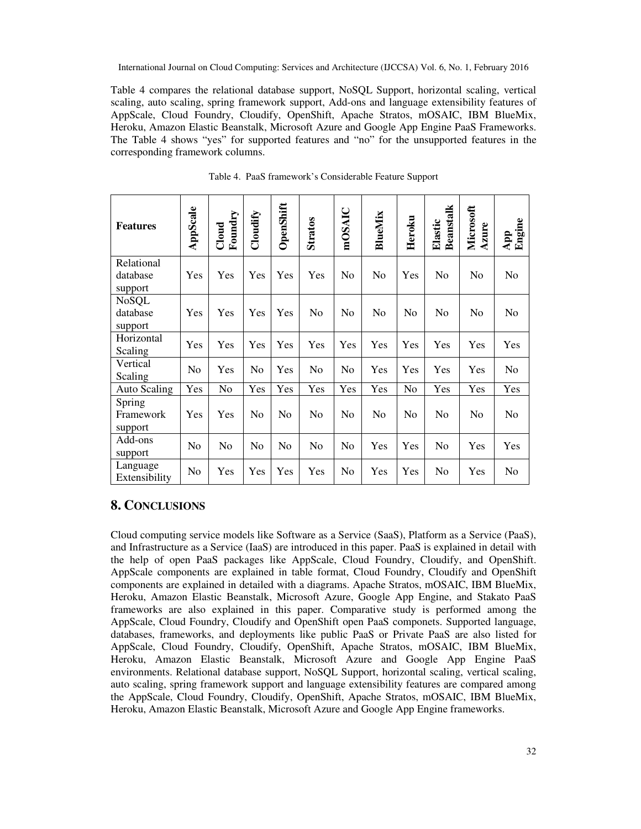Table 4 compares the relational database support, NoSQL Support, horizontal scaling, vertical scaling, auto scaling, spring framework support, Add-ons and language extensibility features of AppScale, Cloud Foundry, Cloudify, OpenShift, Apache Stratos, mOSAIC, IBM BlueMix, Heroku, Amazon Elastic Beanstalk, Microsoft Azure and Google App Engine PaaS Frameworks. The Table 4 shows "yes" for supported features and "no" for the unsupported features in the corresponding framework columns.

| <b>Features</b>                | AppScale       | Foundry<br>Cloud | Cloudify | OpenShift      | <b>Stratos</b> | mOSAIC         | BlueMix | Heroku | <b>Beanstalk</b><br>Elastic | Microsoft<br>Azure | Engine<br>App |
|--------------------------------|----------------|------------------|----------|----------------|----------------|----------------|---------|--------|-----------------------------|--------------------|---------------|
| Relational                     |                |                  |          |                |                |                |         |        |                             |                    |               |
| database<br>support            | Yes            | Yes              | Yes      | Yes            | Yes            | No             | No      | Yes    | No                          | No                 | No            |
| <b>NoSQL</b>                   |                |                  |          |                |                |                |         |        |                             |                    |               |
| database<br>support            | Yes            | Yes              | Yes      | Yes            | No             | No             | No      | No     | No                          | No                 | No            |
| Horizontal<br>Scaling          | Yes            | Yes              | Yes      | Yes            | Yes            | Yes            | Yes     | Yes    | Yes                         | Yes                | Yes           |
| Vertical<br>Scaling            | N <sub>o</sub> | Yes              | No       | Yes            | No             | N <sub>0</sub> | Yes     | Yes    | Yes                         | Yes                | No            |
| <b>Auto Scaling</b>            | Yes            | No               | Yes      | Yes            | Yes            | Yes            | Yes     | No     | Yes                         | Yes                | Yes           |
| Spring<br>Framework<br>support | Yes            | Yes              | No       | N <sub>o</sub> | No             | No             | No      | No     | N <sub>0</sub>              | N <sub>0</sub>     | No            |
| Add-ons<br>support             | No             | No               | No       | N <sub>o</sub> | No             | No             | Yes     | Yes    | N <sub>0</sub>              | Yes                | Yes           |
| Language<br>Extensibility      | No             | Yes              | Yes      | Yes            | Yes            | No             | Yes     | Yes    | No                          | Yes                | No            |

Table 4. PaaS framework's Considerable Feature Support

# **8. CONCLUSIONS**

Cloud computing service models like Software as a Service (SaaS), Platform as a Service (PaaS), and Infrastructure as a Service (IaaS) are introduced in this paper. PaaS is explained in detail with the help of open PaaS packages like AppScale, Cloud Foundry, Cloudify, and OpenShift. AppScale components are explained in table format, Cloud Foundry, Cloudify and OpenShift components are explained in detailed with a diagrams. Apache Stratos, mOSAIC, IBM BlueMix, Heroku, Amazon Elastic Beanstalk, Microsoft Azure, Google App Engine, and Stakato PaaS frameworks are also explained in this paper. Comparative study is performed among the AppScale, Cloud Foundry, Cloudify and OpenShift open PaaS componets. Supported language, databases, frameworks, and deployments like public PaaS or Private PaaS are also listed for AppScale, Cloud Foundry, Cloudify, OpenShift, Apache Stratos, mOSAIC, IBM BlueMix, Heroku, Amazon Elastic Beanstalk, Microsoft Azure and Google App Engine PaaS environments. Relational database support, NoSQL Support, horizontal scaling, vertical scaling, auto scaling, spring framework support and language extensibility features are compared among the AppScale, Cloud Foundry, Cloudify, OpenShift, Apache Stratos, mOSAIC, IBM BlueMix, Heroku, Amazon Elastic Beanstalk, Microsoft Azure and Google App Engine frameworks.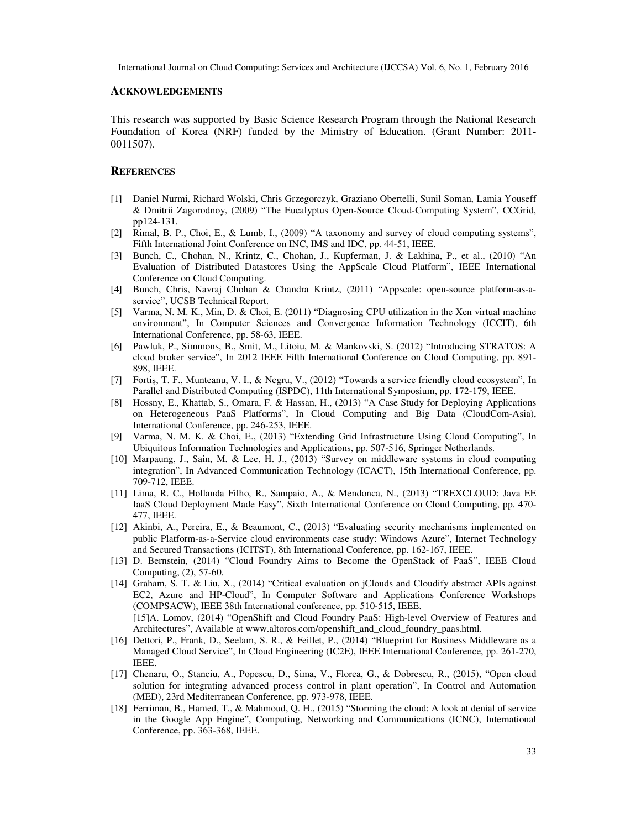#### **ACKNOWLEDGEMENTS**

This research was supported by Basic Science Research Program through the National Research Foundation of Korea (NRF) funded by the Ministry of Education. (Grant Number: 2011- 0011507).

#### **REFERENCES**

- [1] Daniel Nurmi, Richard Wolski, Chris Grzegorczyk, Graziano Obertelli, Sunil Soman, Lamia Youseff & Dmitrii Zagorodnoy, (2009) "The Eucalyptus Open-Source Cloud-Computing System", CCGrid, pp124-131.
- [2] Rimal, B. P., Choi, E., & Lumb, I., (2009) "A taxonomy and survey of cloud computing systems", Fifth International Joint Conference on INC, IMS and IDC, pp. 44-51, IEEE.
- [3] Bunch, C., Chohan, N., Krintz, C., Chohan, J., Kupferman, J. & Lakhina, P., et al., (2010) "An Evaluation of Distributed Datastores Using the AppScale Cloud Platform", IEEE International Conference on Cloud Computing.
- [4] Bunch, Chris, Navraj Chohan & Chandra Krintz, (2011) "Appscale: open-source platform-as-aservice", UCSB Technical Report.
- [5] Varma, N. M. K., Min, D. & Choi, E. (2011) "Diagnosing CPU utilization in the Xen virtual machine environment", In Computer Sciences and Convergence Information Technology (ICCIT), 6th International Conference, pp. 58-63, IEEE.
- [6] Pawluk, P., Simmons, B., Smit, M., Litoiu, M. & Mankovski, S. (2012) "Introducing STRATOS: A cloud broker service", In 2012 IEEE Fifth International Conference on Cloud Computing, pp. 891- 898, IEEE.
- [7] Fortiş, T. F., Munteanu, V. I., & Negru, V., (2012) "Towards a service friendly cloud ecosystem", In Parallel and Distributed Computing (ISPDC), 11th International Symposium, pp. 172-179, IEEE.
- [8] Hossny, E., Khattab, S., Omara, F. & Hassan, H., (2013) "A Case Study for Deploying Applications on Heterogeneous PaaS Platforms", In Cloud Computing and Big Data (CloudCom-Asia), International Conference, pp. 246-253, IEEE.
- [9] Varma, N. M. K. & Choi, E., (2013) "Extending Grid Infrastructure Using Cloud Computing", In Ubiquitous Information Technologies and Applications, pp. 507-516, Springer Netherlands.
- [10] Marpaung, J., Sain, M. & Lee, H. J., (2013) "Survey on middleware systems in cloud computing integration", In Advanced Communication Technology (ICACT), 15th International Conference, pp. 709-712, IEEE.
- [11] Lima, R. C., Hollanda Filho, R., Sampaio, A., & Mendonca, N., (2013) "TREXCLOUD: Java EE IaaS Cloud Deployment Made Easy", Sixth International Conference on Cloud Computing, pp. 470- 477, IEEE.
- [12] Akinbi, A., Pereira, E., & Beaumont, C., (2013) "Evaluating security mechanisms implemented on public Platform-as-a-Service cloud environments case study: Windows Azure", Internet Technology and Secured Transactions (ICITST), 8th International Conference, pp. 162-167, IEEE.
- [13] D. Bernstein, (2014) "Cloud Foundry Aims to Become the OpenStack of PaaS", IEEE Cloud Computing, (2), 57-60.
- [14] Graham, S. T. & Liu, X., (2014) "Critical evaluation on jClouds and Cloudify abstract APIs against EC2, Azure and HP-Cloud", In Computer Software and Applications Conference Workshops (COMPSACW), IEEE 38th International conference, pp. 510-515, IEEE. [15]A. Lomov, (2014) "OpenShift and Cloud Foundry PaaS: High-level Overview of Features and Architectures", Available at www.altoros.com/openshift\_and\_cloud\_foundry\_paas.html.
- [16] Dettori, P., Frank, D., Seelam, S. R., & Feillet, P., (2014) "Blueprint for Business Middleware as a Managed Cloud Service", In Cloud Engineering (IC2E), IEEE International Conference, pp. 261-270, IEEE.
- [17] Chenaru, O., Stanciu, A., Popescu, D., Sima, V., Florea, G., & Dobrescu, R., (2015), "Open cloud solution for integrating advanced process control in plant operation", In Control and Automation (MED), 23rd Mediterranean Conference, pp. 973-978, IEEE.
- [18] Ferriman, B., Hamed, T., & Mahmoud, Q. H., (2015) "Storming the cloud: A look at denial of service in the Google App Engine", Computing, Networking and Communications (ICNC), International Conference, pp. 363-368, IEEE.